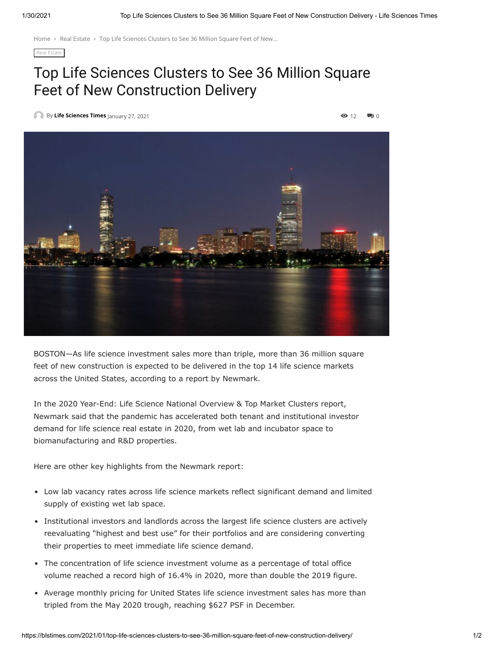[Home](https://blstimes.com/) > Real [Estate](https://blstimes.com/category/real-estate/) > Top Life Sciences Clusters to See 36 Million Square Feet of New...

[Real Estate](https://blstimes.com/category/real-estate/)

## Top Life Sciences Clusters to See 36 Million Square Feet of New Construction Delivery

[B](https://blstimes.com/author/lstimes/)y **[Life Sciences](https://blstimes.com/author/lstimes/) Times** January 27, 2021 12 0



BOSTON—As life science investment sales more than triple, more than 36 million square feet of new construction is expected to be delivered in the top 14 life science markets across the United States, according to a report by Newmark.

In the 2020 Year-End: Life Science National Overview & Top Market Clusters report, Newmark said that the pandemic has accelerated both tenant and institutional investor demand for life science real estate in 2020, from wet lab and incubator space to biomanufacturing and R&D properties.

Here are other key highlights from the Newmark report:

- Low lab vacancy rates across life science markets reflect significant demand and limited supply of existing wet lab space.
- Institutional investors and landlords across the largest life science clusters are actively reevaluating "highest and best use" for their portfolios and are considering converting their properties to meet immediate life science demand.
- The concentration of life science investment volume as a percentage of total office volume reached a record high of 16.4% in 2020, more than double the 2019 figure.
- Average monthly pricing for United States life science investment sales has more than tripled from the May 2020 trough, reaching \$627 PSF in December.